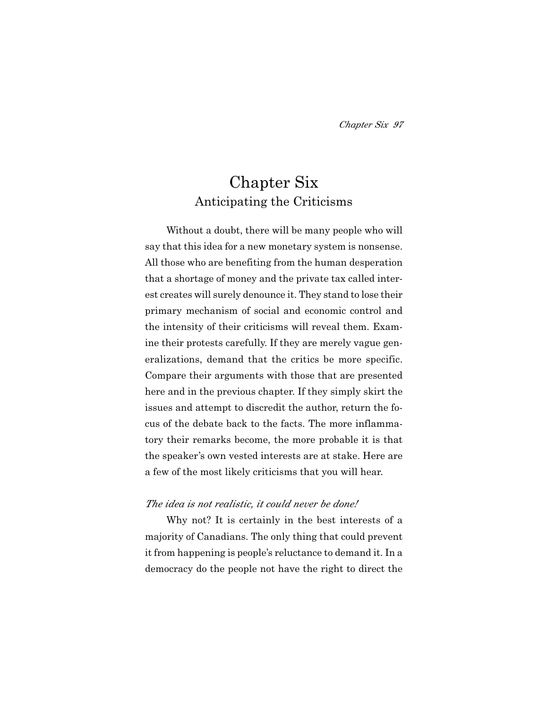# Chapter Six Anticipating the Criticisms

Without a doubt, there will be many people who will say that this idea for a new monetary system is nonsense. All those who are benefiting from the human desperation that a shortage of money and the private tax called interest creates will surely denounce it. They stand to lose their primary mechanism of social and economic control and the intensity of their criticisms will reveal them. Examine their protests carefully. If they are merely vague generalizations, demand that the critics be more specific. Compare their arguments with those that are presented here and in the previous chapter. If they simply skirt the issues and attempt to discredit the author, return the focus of the debate back to the facts. The more inflammatory their remarks become, the more probable it is that the speaker's own vested interests are at stake. Here are a few of the most likely criticisms that you will hear.

### *The idea is not realistic, it could never be done!*

Why not? It is certainly in the best interests of a majority of Canadians. The only thing that could prevent it from happening is people's reluctance to demand it. In a democracy do the people not have the right to direct the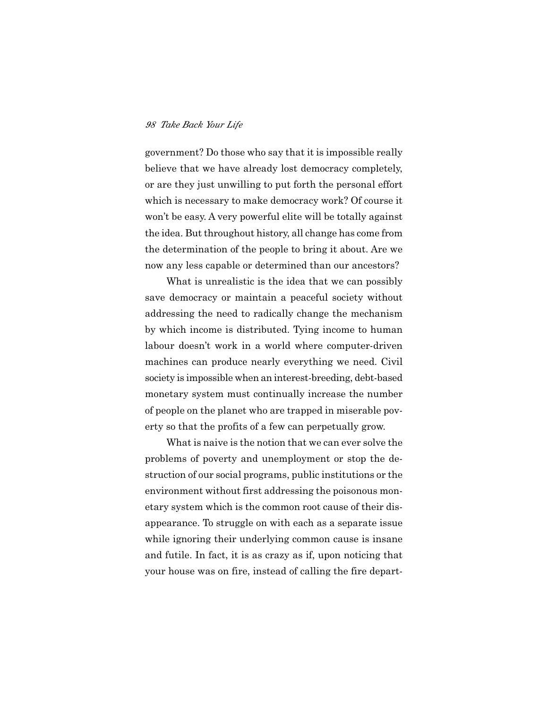government? Do those who say that it is impossible really believe that we have already lost democracy completely, or are they just unwilling to put forth the personal effort which is necessary to make democracy work? Of course it won't be easy. A very powerful elite will be totally against the idea. But throughout history, all change has come from the determination of the people to bring it about. Are we now any less capable or determined than our ancestors?

What is unrealistic is the idea that we can possibly save democracy or maintain a peaceful society without addressing the need to radically change the mechanism by which income is distributed. Tying income to human labour doesn't work in a world where computer-driven machines can produce nearly everything we need. Civil society is impossible when an interest-breeding, debt-based monetary system must continually increase the number of people on the planet who are trapped in miserable poverty so that the profits of a few can perpetually grow.

What is naive is the notion that we can ever solve the problems of poverty and unemployment or stop the destruction of our social programs, public institutions or the environment without first addressing the poisonous monetary system which is the common root cause of their disappearance. To struggle on with each as a separate issue while ignoring their underlying common cause is insane and futile. In fact, it is as crazy as if, upon noticing that your house was on fire, instead of calling the fire depart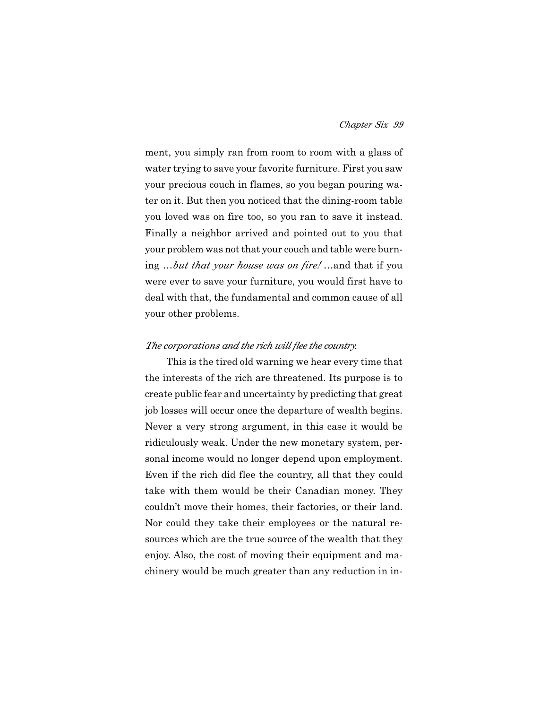ment, you simply ran from room to room with a glass of water trying to save your favorite furniture. First you saw your precious couch in flames, so you began pouring water on it. But then you noticed that the dining-room table you loved was on fire too, so you ran to save it instead. Finally a neighbor arrived and pointed out to you that your problem was not that your couch and table were burning …*but that your house was on fire!* …and that if you were ever to save your furniture, you would first have to deal with that, the fundamental and common cause of all your other problems.

### *The corporations and the rich will flee the country.*

This is the tired old warning we hear every time that the interests of the rich are threatened. Its purpose is to create public fear and uncertainty by predicting that great job losses will occur once the departure of wealth begins. Never a very strong argument, in this case it would be ridiculously weak. Under the new monetary system, personal income would no longer depend upon employment. Even if the rich did flee the country, all that they could take with them would be their Canadian money. They couldn't move their homes, their factories, or their land. Nor could they take their employees or the natural resources which are the true source of the wealth that they enjoy. Also, the cost of moving their equipment and machinery would be much greater than any reduction in in-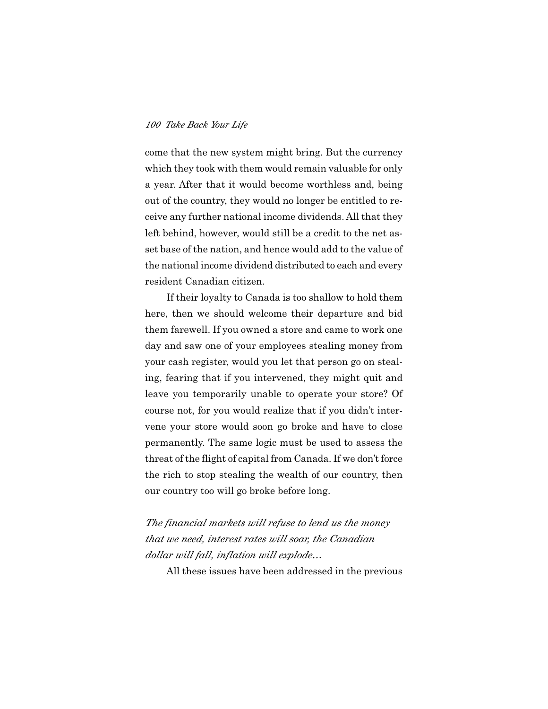come that the new system might bring. But the currency which they took with them would remain valuable for only a year. After that it would become worthless and, being out of the country, they would no longer be entitled to receive any further national income dividends. All that they left behind, however, would still be a credit to the net asset base of the nation, and hence would add to the value of the national income dividend distributed to each and every resident Canadian citizen.

If their loyalty to Canada is too shallow to hold them here, then we should welcome their departure and bid them farewell. If you owned a store and came to work one day and saw one of your employees stealing money from your cash register, would you let that person go on stealing, fearing that if you intervened, they might quit and leave you temporarily unable to operate your store? Of course not, for you would realize that if you didn't intervene your store would soon go broke and have to close permanently. The same logic must be used to assess the threat of the flight of capital from Canada. If we don't force the rich to stop stealing the wealth of our country, then our country too will go broke before long.

*The financial markets will refuse to lend us the money that we need, interest rates will soar, the Canadian dollar will fall, inflation will explode…*

All these issues have been addressed in the previous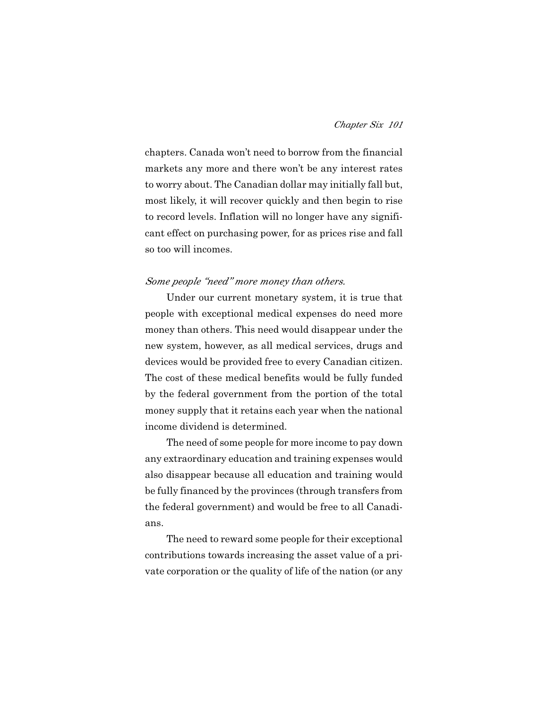chapters. Canada won't need to borrow from the financial markets any more and there won't be any interest rates to worry about. The Canadian dollar may initially fall but, most likely, it will recover quickly and then begin to rise to record levels. Inflation will no longer have any significant effect on purchasing power, for as prices rise and fall so too will incomes.

#### *Some people "need" more money than others.*

Under our current monetary system, it is true that people with exceptional medical expenses do need more money than others. This need would disappear under the new system, however, as all medical services, drugs and devices would be provided free to every Canadian citizen. The cost of these medical benefits would be fully funded by the federal government from the portion of the total money supply that it retains each year when the national income dividend is determined.

The need of some people for more income to pay down any extraordinary education and training expenses would also disappear because all education and training would be fully financed by the provinces (through transfers from the federal government) and would be free to all Canadians.

The need to reward some people for their exceptional contributions towards increasing the asset value of a private corporation or the quality of life of the nation (or any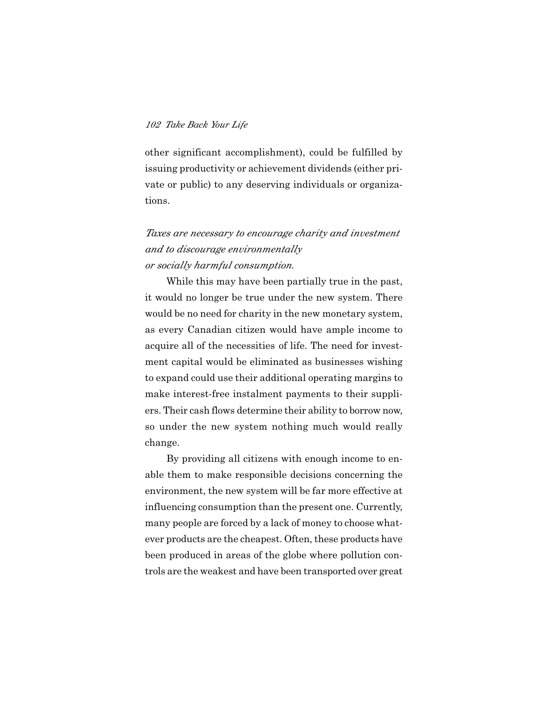other significant accomplishment), could be fulfilled by issuing productivity or achievement dividends (either private or public) to any deserving individuals or organizations.

# *Taxes are necessary to encourage charity and investment and to discourage environmentally or socially harmful consumption.*

While this may have been partially true in the past, it would no longer be true under the new system. There would be no need for charity in the new monetary system, as every Canadian citizen would have ample income to acquire all of the necessities of life. The need for investment capital would be eliminated as businesses wishing to expand could use their additional operating margins to make interest-free instalment payments to their suppliers. Their cash flows determine their ability to borrow now, so under the new system nothing much would really change.

By providing all citizens with enough income to enable them to make responsible decisions concerning the environment, the new system will be far more effective at influencing consumption than the present one. Currently, many people are forced by a lack of money to choose whatever products are the cheapest. Often, these products have been produced in areas of the globe where pollution controls are the weakest and have been transported over great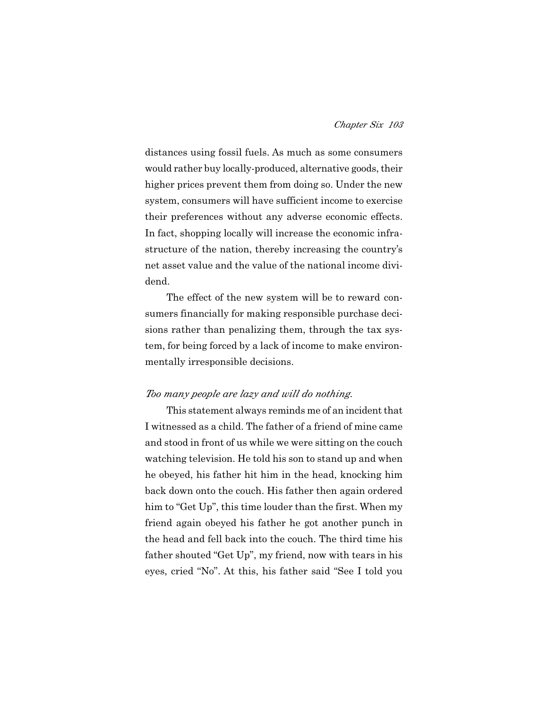distances using fossil fuels. As much as some consumers would rather buy locally-produced, alternative goods, their higher prices prevent them from doing so. Under the new system, consumers will have sufficient income to exercise their preferences without any adverse economic effects. In fact, shopping locally will increase the economic infrastructure of the nation, thereby increasing the country's net asset value and the value of the national income dividend.

The effect of the new system will be to reward consumers financially for making responsible purchase decisions rather than penalizing them, through the tax system, for being forced by a lack of income to make environmentally irresponsible decisions.

### *Too many people are lazy and will do nothing.*

This statement always reminds me of an incident that I witnessed as a child. The father of a friend of mine came and stood in front of us while we were sitting on the couch watching television. He told his son to stand up and when he obeyed, his father hit him in the head, knocking him back down onto the couch. His father then again ordered him to "Get Up", this time louder than the first. When my friend again obeyed his father he got another punch in the head and fell back into the couch. The third time his father shouted "Get Up", my friend, now with tears in his eyes, cried "No". At this, his father said "See I told you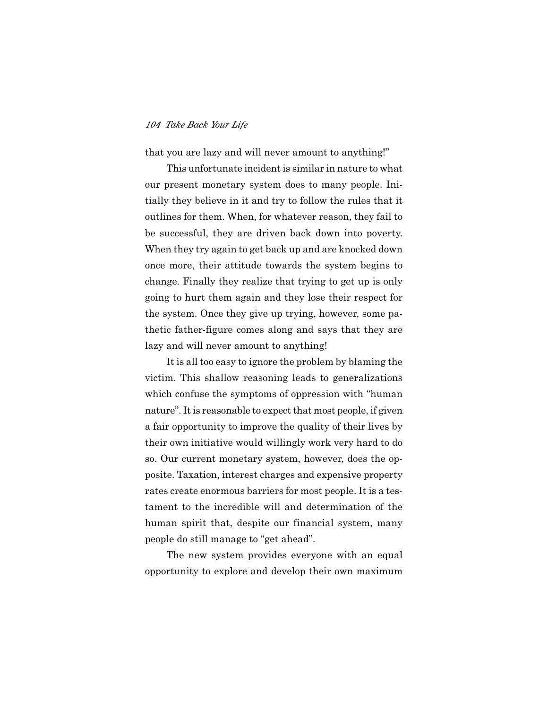that you are lazy and will never amount to anything!"

This unfortunate incident is similar in nature to what our present monetary system does to many people. Initially they believe in it and try to follow the rules that it outlines for them. When, for whatever reason, they fail to be successful, they are driven back down into poverty. When they try again to get back up and are knocked down once more, their attitude towards the system begins to change. Finally they realize that trying to get up is only going to hurt them again and they lose their respect for the system. Once they give up trying, however, some pathetic father-figure comes along and says that they are lazy and will never amount to anything!

It is all too easy to ignore the problem by blaming the victim. This shallow reasoning leads to generalizations which confuse the symptoms of oppression with "human nature". It is reasonable to expect that most people, if given a fair opportunity to improve the quality of their lives by their own initiative would willingly work very hard to do so. Our current monetary system, however, does the opposite. Taxation, interest charges and expensive property rates create enormous barriers for most people. It is a testament to the incredible will and determination of the human spirit that, despite our financial system, many people do still manage to "get ahead".

The new system provides everyone with an equal opportunity to explore and develop their own maximum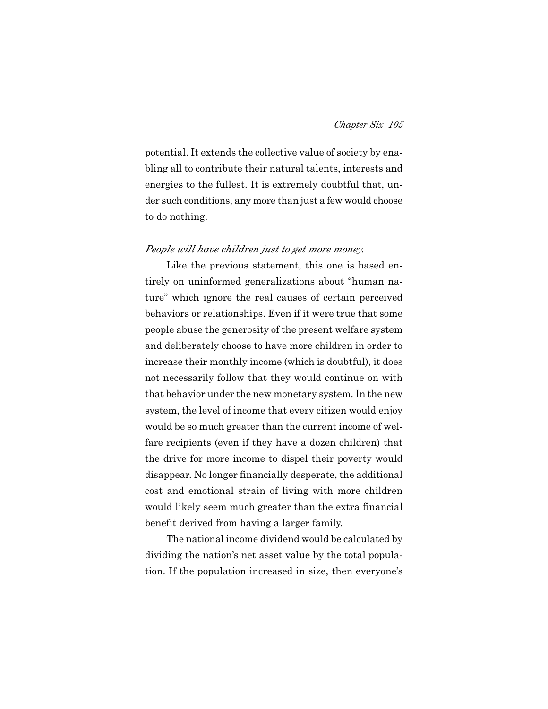potential. It extends the collective value of society by enabling all to contribute their natural talents, interests and energies to the fullest. It is extremely doubtful that, under such conditions, any more than just a few would choose to do nothing.

#### *People will have children just to get more money.*

Like the previous statement, this one is based entirely on uninformed generalizations about "human nature" which ignore the real causes of certain perceived behaviors or relationships. Even if it were true that some people abuse the generosity of the present welfare system and deliberately choose to have more children in order to increase their monthly income (which is doubtful), it does not necessarily follow that they would continue on with that behavior under the new monetary system. In the new system, the level of income that every citizen would enjoy would be so much greater than the current income of welfare recipients (even if they have a dozen children) that the drive for more income to dispel their poverty would disappear. No longer financially desperate, the additional cost and emotional strain of living with more children would likely seem much greater than the extra financial benefit derived from having a larger family.

The national income dividend would be calculated by dividing the nation's net asset value by the total population. If the population increased in size, then everyone's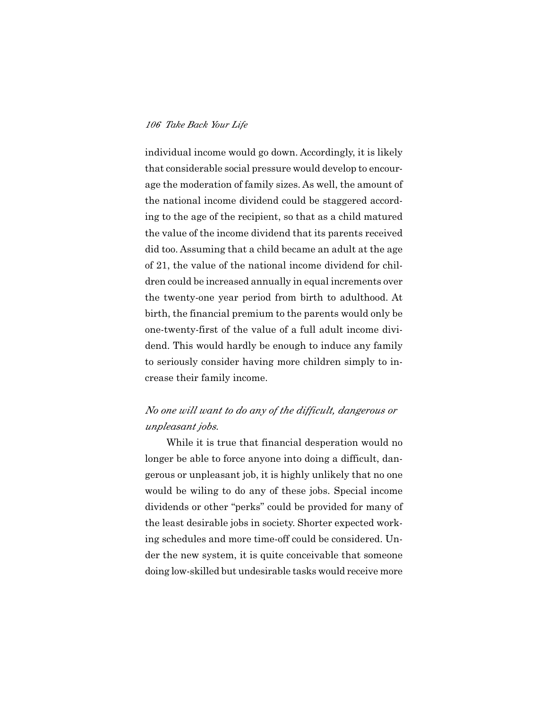individual income would go down. Accordingly, it is likely that considerable social pressure would develop to encourage the moderation of family sizes. As well, the amount of the national income dividend could be staggered according to the age of the recipient, so that as a child matured the value of the income dividend that its parents received did too. Assuming that a child became an adult at the age of 21, the value of the national income dividend for children could be increased annually in equal increments over the twenty-one year period from birth to adulthood. At birth, the financial premium to the parents would only be one-twenty-first of the value of a full adult income dividend. This would hardly be enough to induce any family to seriously consider having more children simply to increase their family income.

# *No one will want to do any of the difficult, dangerous or unpleasant jobs.*

While it is true that financial desperation would no longer be able to force anyone into doing a difficult, dangerous or unpleasant job, it is highly unlikely that no one would be wiling to do any of these jobs. Special income dividends or other "perks" could be provided for many of the least desirable jobs in society. Shorter expected working schedules and more time-off could be considered. Under the new system, it is quite conceivable that someone doing low-skilled but undesirable tasks would receive more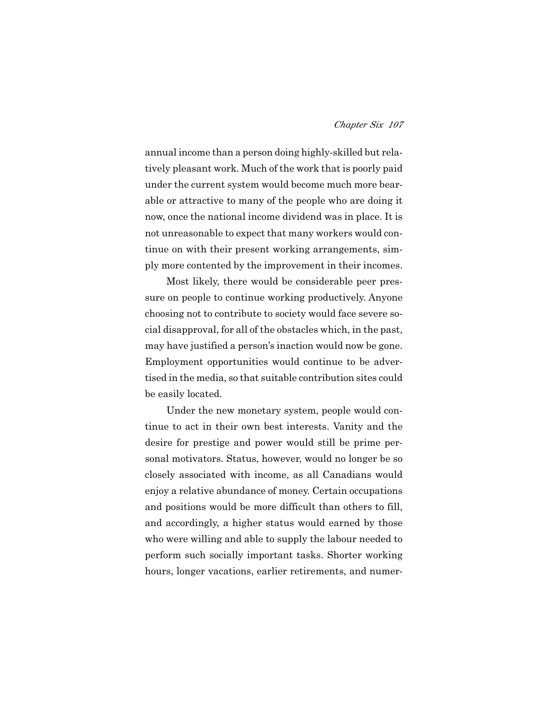annual income than a person doing highly-skilled but relatively pleasant work. Much of the work that is poorly paid under the current system would become much more bearable or attractive to many of the people who are doing it now, once the national income dividend was in place. It is not unreasonable to expect that many workers would continue on with their present working arrangements, simply more contented by the improvement in their incomes.

Most likely, there would be considerable peer pressure on people to continue working productively. Anyone choosing not to contribute to society would face severe social disapproval, for all of the obstacles which, in the past, may have justified a person's inaction would now be gone. Employment opportunities would continue to be advertised in the media, so that suitable contribution sites could be easily located.

Under the new monetary system, people would continue to act in their own best interests. Vanity and the desire for prestige and power would still be prime personal motivators. Status, however, would no longer be so closely associated with income, as all Canadians would enjoy a relative abundance of money. Certain occupations and positions would be more difficult than others to fill, and accordingly, a higher status would earned by those who were willing and able to supply the labour needed to perform such socially important tasks. Shorter working hours, longer vacations, earlier retirements, and numer-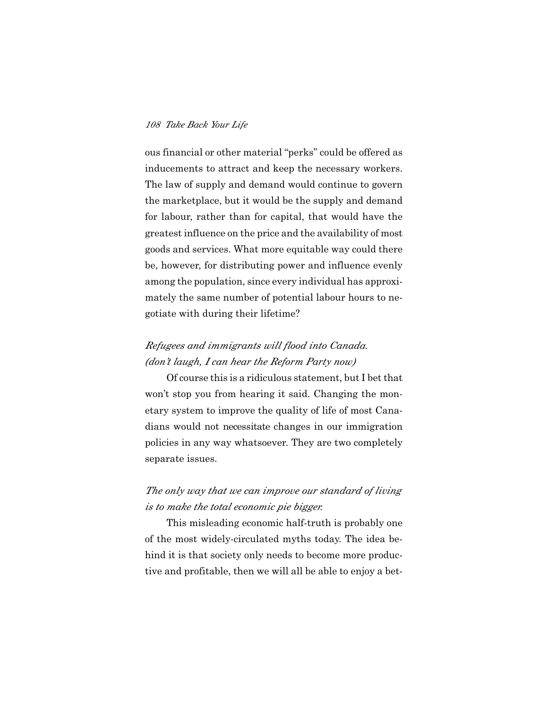ous financial or other material "perks" could be offered as inducements to attract and keep the necessary workers. The law of supply and demand would continue to govern the marketplace, but it would be the supply and demand for labour, rather than for capital, that would have the greatest influence on the price and the availability of most goods and services. What more equitable way could there be, however, for distributing power and influence evenly among the population, since every individual has approximately the same number of potential labour hours to negotiate with during their lifetime?

# *Refugees and immigrants will flood into Canada. (don't laugh, I can hear the Reform Party now)*

Of course this is a ridiculous statement, but I bet that won't stop you from hearing it said. Changing the monetary system to improve the quality of life of most Canadians would not necessitate changes in our immigration policies in any way whatsoever. They are two completely separate issues.

## *The only way that we can improve our standard of living is to make the total economic pie bigger.*

This misleading economic half-truth is probably one of the most widely-circulated myths today. The idea behind it is that society only needs to become more productive and profitable, then we will all be able to enjoy a bet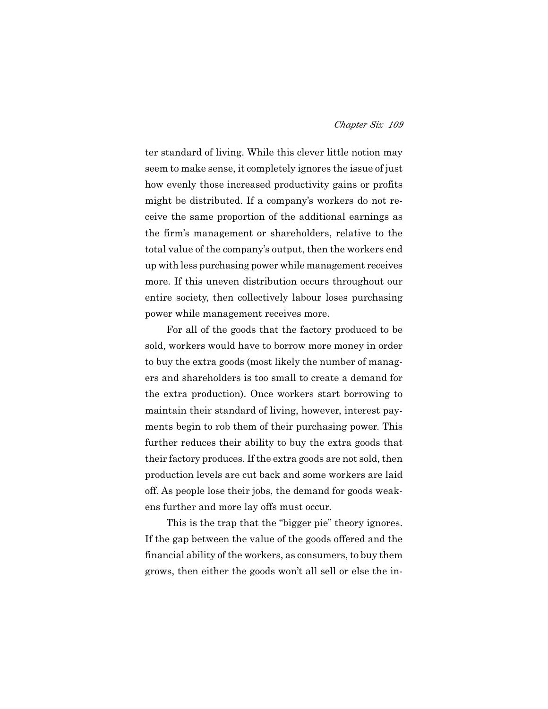ter standard of living. While this clever little notion may seem to make sense, it completely ignores the issue of just how evenly those increased productivity gains or profits might be distributed. If a company's workers do not receive the same proportion of the additional earnings as the firm's management or shareholders, relative to the total value of the company's output, then the workers end up with less purchasing power while management receives more. If this uneven distribution occurs throughout our entire society, then collectively labour loses purchasing power while management receives more.

For all of the goods that the factory produced to be sold, workers would have to borrow more money in order to buy the extra goods (most likely the number of managers and shareholders is too small to create a demand for the extra production). Once workers start borrowing to maintain their standard of living, however, interest payments begin to rob them of their purchasing power. This further reduces their ability to buy the extra goods that their factory produces. If the extra goods are not sold, then production levels are cut back and some workers are laid off. As people lose their jobs, the demand for goods weakens further and more lay offs must occur.

This is the trap that the "bigger pie" theory ignores. If the gap between the value of the goods offered and the financial ability of the workers, as consumers, to buy them grows, then either the goods won't all sell or else the in-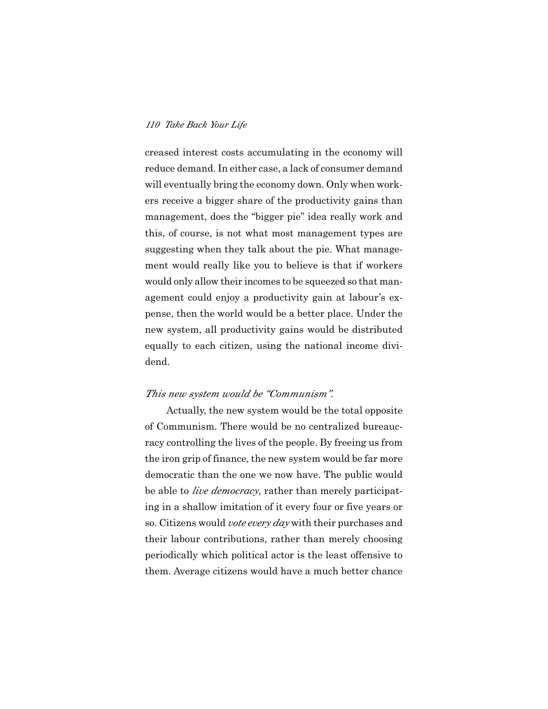creased interest costs accumulating in the economy will reduce demand. In either case, a lack of consumer demand will eventually bring the economy down. Only when workers receive a bigger share of the productivity gains than management, does the "bigger pie" idea really work and this, of course, is not what most management types are suggesting when they talk about the pie. What management would really like you to believe is that if workers would only allow their incomes to be squeezed so that management could enjoy a productivity gain at labour's expense, then the world would be a better place. Under the new system, all productivity gains would be distributed equally to each citizen, using the national income dividend.

### *This new system would be "Communism".*

Actually, the new system would be the total opposite of Communism. There would be no centralized bureaucracy controlling the lives of the people. By freeing us from the iron grip of finance, the new system would be far more democratic than the one we now have. The public would be able to *live democracy*, rather than merely participating in a shallow imitation of it every four or five years or so. Citizens would *vote every day* with their purchases and their labour contributions, rather than merely choosing periodically which political actor is the least offensive to them. Average citizens would have a much better chance